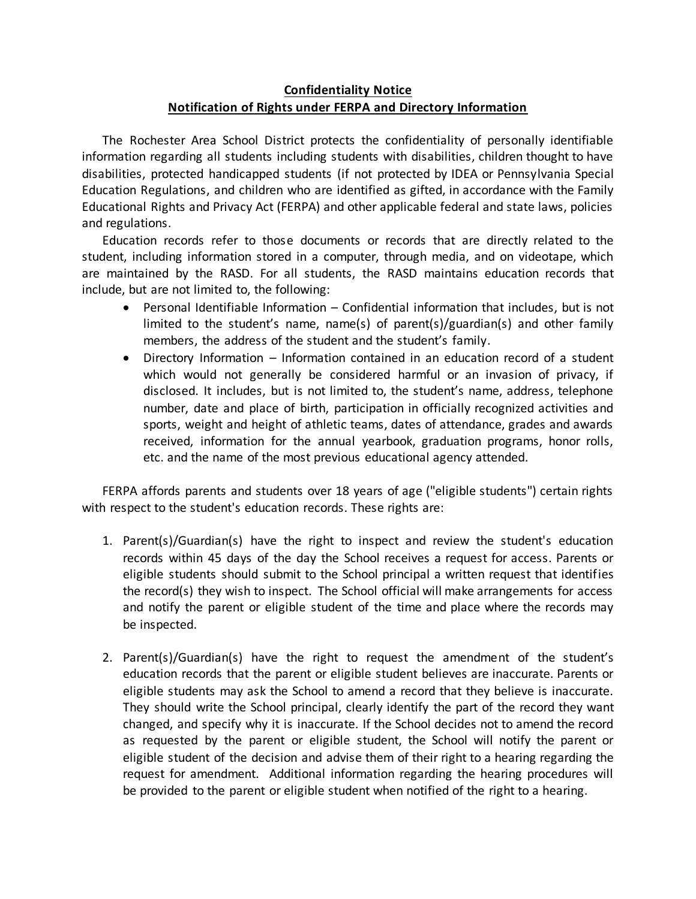## **Confidentiality Notice Notification of Rights under FERPA and Directory Information**

The Rochester Area School District protects the confidentiality of personally identifiable information regarding all students including students with disabilities, children thought to have disabilities, protected handicapped students (if not protected by IDEA or Pennsylvania Special Education Regulations, and children who are identified as gifted, in accordance with the Family Educational Rights and Privacy Act (FERPA) and other applicable federal and state laws, policies and regulations.

Education records refer to those documents or records that are directly related to the student, including information stored in a computer, through media, and on videotape, which are maintained by the RASD. For all students, the RASD maintains education records that include, but are not limited to, the following:

- Personal Identifiable Information Confidential information that includes, but is not limited to the student's name, name(s) of parent(s)/guardian(s) and other family members, the address of the student and the student's family.
- Directory Information Information contained in an education record of a student which would not generally be considered harmful or an invasion of privacy, if disclosed. It includes, but is not limited to, the student's name, address, telephone number, date and place of birth, participation in officially recognized activities and sports, weight and height of athletic teams, dates of attendance, grades and awards received, information for the annual yearbook, graduation programs, honor rolls, etc. and the name of the most previous educational agency attended.

FERPA affords parents and students over 18 years of age ("eligible students") certain rights with respect to the student's education records. These rights are:

- 1. Parent(s)/Guardian(s) have the right to inspect and review the student's education records within 45 days of the day the School receives a request for access. Parents or eligible students should submit to the School principal a written request that identifies the record(s) they wish to inspect. The School official will make arrangements for access and notify the parent or eligible student of the time and place where the records may be inspected.
- 2. Parent(s)/Guardian(s) have the right to request the amendment of the student's education records that the parent or eligible student believes are inaccurate. Parents or eligible students may ask the School to amend a record that they believe is inaccurate. They should write the School principal, clearly identify the part of the record they want changed, and specify why it is inaccurate. If the School decides not to amend the record as requested by the parent or eligible student, the School will notify the parent or eligible student of the decision and advise them of their right to a hearing regarding the request for amendment. Additional information regarding the hearing procedures will be provided to the parent or eligible student when notified of the right to a hearing.